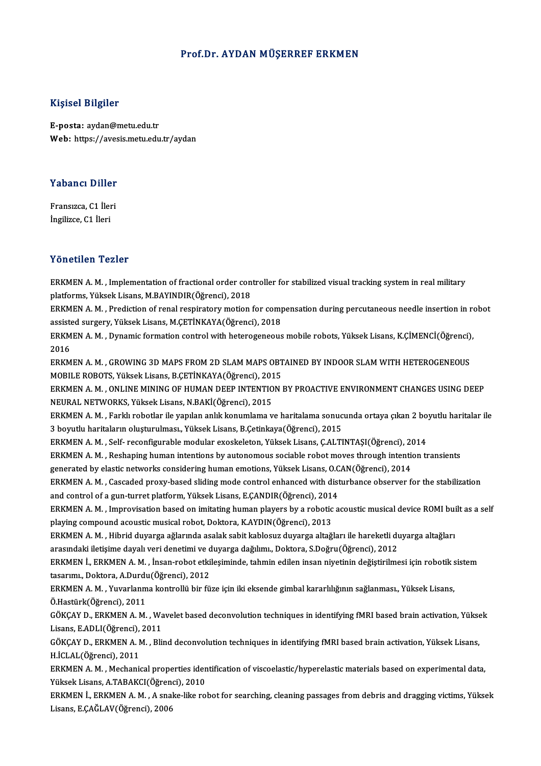### Prof.Dr. AYDAN MÜŞERREF ERKMEN

#### Kişisel Bilgiler

E-posta: aydan@metu.edu.tr Web: https://avesis.metu.edu.tr/aydan

# Yabancı Diller<br>Yabancı Diller

Yabancı Diller<br>Fransızca, C1 İleri<br>İngilizce C1 İleri Fransızca, C1 İleri<br>İngilizce, C1 İleri

#### Yönetilen Tezler

Yönetilen Tezler<br>ERKMEN A. M. , Implementation of fractional order controller for stabilized visual tracking system in real military<br>Platforms Välgek Lisars M BAYINDIR(Öğrensi), 2019 platforms, Yüksek<br>FRKMEN A. M. , Implementation of fractional order con<br>platforms, Yüksek Lisans, M.BAYINDIR(Öğrenci), 2018<br>FRKMEN A. M. , Prediction of renal respiratory metion ERKMEN A. M. , Implementation of fractional order controller for stabilized visual tracking system in real military<br>platforms, Yüksek Lisans, M.BAYINDIR(Öğrenci), 2018<br>ERKMEN A. M. , Prediction of renal respiratory motion

platforms, Yüksek Lisans, M.BAYINDIR(Öğrenci), 2018<br>ERKMEN A. M. , Prediction of renal respiratory motion for comp<br>assisted surgery, Yüksek Lisans, M.ÇETİNKAYA(Öğrenci), 2018<br>ERKMEN A. M., Dynamis formation sontrol with ho ERKMEN A. M. , Prediction of renal respiratory motion for compensation during percutaneous needle insertion in robot assisted surgery, Yüksek Lisans, M.ÇETİNKAYA(Öğrenci), 2018<br>ERKMEN A. M. , Dynamic formation control with

assiste<br>ERKM<br>2016<br>EDVM ERKMEN A. M. , Dynamic formation control with heterogeneous mobile robots, Yüksek Lisans, K.ÇİMENCİ(Öğrenci),<br>2016<br>ERKMEN A. M. , GROWING 3D MAPS FROM 2D SLAM MAPS OBTAINED BY INDOOR SLAM WITH HETEROGENEOUS<br>MOBILE ROBOTS,

ERKMEN A. M., GROWING 3D MAPS FROM 2D SLAM MAPS OBTAINED BY INDOOR SLAM WITH HETEROGENEOUS ERKMEN A. M. , GROWING 3D MAPS FROM 2D SLAM MAPS OBTAINED BY INDOOR SLAM WITH HETEROGENEOUS<br>MOBILE ROBOTS, Yüksek Lisans, B.ÇETİNKAYA(Öğrenci), 2015<br>ERKMEN A. M. , ONLINE MINING OF HUMAN DEEP INTENTION BY PROACTIVE ENVIRON

NEURAL NETWORKS, Yüksek Lisans, N.BAKİ(Öğrenci), 2015<br>ERKMEN A. M. , Farklı robotlar ile yapılan anlık konumlama ve haritalama sonucunda ortaya çıkan 2 boyutlu haritalar ile ERKMEN A. M. , ONLINE MINING OF HUMAN DEEP INTENTION BY PROACTIVE ENVIRONMENT CHANGES USING DEEP<br>NEURAL NETWORKS, Yüksek Lisans, N.BAKİ(Öğrenci), 2015<br>ERKMEN A. M. , Farklı robotlar ile yapılan anlık konumlama ve haritalam

3 boyutlu haritaların oluşturulması., Yüksek Lisans, B.Çetinkaya(Öğrenci), 2015 ERKMEN A. M. , Farklı robotlar ile yapılan anlık konumlama ve haritalama sonucunda ortaya çıkan 2 bo<br>3 boyutlu haritaların oluşturulması., Yüksek Lisans, B.Çetinkaya(Öğrenci), 2015<br>ERKMEN A. M. , Self- reconfigurable modul

ERKMEN A. M. , Reshaping human intentions by autonomous sociable robot moves through intention transients<br>generated by elastic networks considering human emotions, Yüksek Lisans, O.CAN(Öğrenci), 2014 ERKMEN A. M. , Self- reconfigurable modular exoskeleton, Yüksek Lisans, Ç.ALTINTAŞI(Öğrenci), 2014<br>ERKMEN A. M. , Reshaping human intentions by autonomous sociable robot moves through intention<br>generated by elastic network ERKMEN A. M. , Reshaping human intentions by autonomous sociable robot moves through intention transients<br>generated by elastic networks considering human emotions, Yüksek Lisans, O.CAN(Öğrenci), 2014<br>ERKMEN A. M. , Cascade

generated by elastic networks considering human emotions, Yüksek Lisans, O.C<br>ERKMEN A. M. , Cascaded proxy-based sliding mode control enhanced with dist<br>and control of a gun-turret platform, Yüksek Lisans, E.ÇANDIR(Öğrenci

ERKMEN A. M. , Cascaded proxy-based sliding mode control enhanced with disturbance observer for the stabilization<br>and control of a gun-turret platform, Yüksek Lisans, E.ÇANDIR(Öğrenci), 2014<br>ERKMEN A. M. , Improvisation ba and control of a gun-turret platform, Yüksek Lisans, E.ÇANDIR(Öğrenci), 2014<br>ERKMEN A. M. , Improvisation based on imitating human players by a robotic<br>playing compound acoustic musical robot, Doktora, K.AYDIN(Öğrenci), 20 ERKMEN A. M. , Improvisation based on imitating human players by a robotic acoustic musical device ROMI bui<br>playing compound acoustic musical robot, Doktora, K.AYDIN(Öğrenci), 2013<br>ERKMEN A. M. , Hibrid duyarga ağlarında a

playing compound acoustic musical robot, Doktora, K.AYDIN(Öğrenci), 2013<br>ERKMEN A. M. , Hibrid duyarga ağlarında asalak sabit kablosuz duyarga altağları ile hareketli duyarga altağları<br>arasındaki iletişime dayalı veri dene ERKMEN A. M. , Hibrid duyarga ağlarında asalak sabit kablosuz duyarga altağları ile hareketli duyarga altağları<br>arasındaki iletişime dayalı veri denetimi ve duyarga dağılımı., Doktora, S.Doğru(Öğrenci), 2012<br>ERKMEN İ., ERK

arasındaki iletişime dayalı veri denetimi ve d<br>ERKMEN İ., ERKMEN A. M. , İnsan-robot etki<br>tasarımı., Doktora, A.Durdu(Öğrenci), 2012<br>ERKMEN A.M., Yuvarlanma kantrallü bir fü ERKMEN İ., ERKMEN A. M. , İnsan-robot etkileşiminde, tahmin edilen insan niyetinin değiştirilmesi için robotik s<br>tasarımı., Doktora, A.Durdu(Öğrenci), 2012<br>ERKMEN A. M. , Yuvarlanma kontrollü bir füze için iki eksende gimb

tasarımı., Doktora, A.Durdu(Öğrenci), 2012<br>ERKMEN A. M. , Yuvarlanma kontrollü bir füze için iki eksende gimbal kararlılığının sağlanması., Yüksek Lisans,<br>Ö.Hastürk(Öğrenci), 2011 ERKMEN A. M. , Yuvarlanma kontrollü bir füze için iki eksende gimbal kararlılığının sağlanması., Yüksek Lisans,<br>Ö.Hastürk(Öğrenci), 2011<br>GÖKÇAY D., ERKMEN A. M. , Wavelet based deconvolution techniques in identifying fMRI

Ö.Hastürk(Öğrenci), 2011<br>GÖKÇAY D., ERKMEN A. M. , Wa<br>Lisans, E.ADLI(Öğrenci), 2011<br>GÖKCAY D., ERKMEN A. M., Plu GÖKÇAY D., ERKMEN A. M. , Wavelet based deconvolution techniques in identifying fMRI based brain activation, Yükse<br>Lisans, E.ADLI(Öğrenci), 2011<br>GÖKÇAY D., ERKMEN A. M. , Blind deconvolution techniques in identifying fMRI

Lisans, E.ADLI(Öğrenci),<br>GÖKÇAY D., ERKMEN A. M<br>H.İCLAL(Öğrenci), 2011<br>ERKMEN A. M., Machani GÖKÇAY D., ERKMEN A. M. , Blind deconvolution techniques in identifying fMRI based brain activation, Yüksek Lisans,<br>H.İCLAL(Öğrenci), 2011<br>ERKMEN A. M. , Mechanical properties identification of viscoelastic/hyperelastic ma

H.İCLAL(Öğrenci), 2011<br>ERKMEN A. M. , Mechanical properties iden<br>Yüksek Lisans, A.TABAKCI(Öğrenci), 2010<br>ERKMEN İ. ERKMEN A. M. , Aspaka lika ra Yüksek Lisans, A.TABAKCI(Öğrenci), 2010

ERKMEN İ., ERKMEN A.M. , A snake-like robot for searching, cleaning passages from debris and dragging victims, Yüksek<br>Lisans, E.ÇAĞLAV(Öğrenci), 2006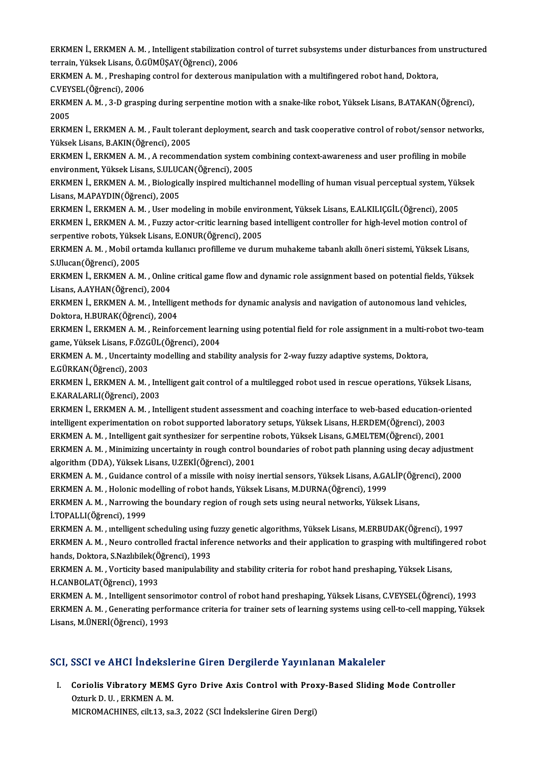ERKMEN İ., ERKMEN A. M. , Intelligent stabilization control of turret subsystems under disturbances from unstructured<br>terrein Vülgek Lisans, Ö CÜMÜSAV(Öğrensi), 2006 ERKMEN İ., ERKMEN A. M. , Intelligent stabilization c<br>terrain, Yüksek Lisans, Ö.GÜMÜŞAY(Öğrenci), 2006<br>ERKMEN A. M., Presbaning santral far davtaraya m ERKMEN İ., ERKMEN A. M. , Intelligent stabilization control of turret subsystems under disturbances from<br>terrain, Yüksek Lisans, Ö.GÜMÜŞAY(Öğrenci), 2006<br>ERKMEN A. M. , Preshaping control for dexterous manipulation with a

terrain, Yüksek Lisans, Ö.GÜMÜŞAY(Öğrenci), 2006<br>ERKMEN A. M. , Preshaping control for dexterous manipulation with a multifingered robot hand, Doktora, C.VEYSEL(Öğrenci), 2006

ERKMEN A. M. , 3-D grasping during serpentine motion with a snake-like robot, Yüksek Lisans, B.ATAKAN(Öğrenci),<br>2005 ERKMEN A. M. , 3-D grasping during serpentine motion with a snake-like robot, Yüksek Lisans, B.ATAKAN(Öğrenci),<br>2005<br>ERKMEN İ., ERKMEN A. M. , Fault tolerant deployment, search and task cooperative control of robot/sensor

2005<br>ERKMEN İ., ERKMEN A. M. , Fault tolera<br>Yüksek Lisans, B.AKIN(Öğrenci), 2005<br>ERKMEN İ. ERKMEN A. M. , A. resemme ERKMEN İ., ERKMEN A. M. , Fault tolerant deployment, search and task cooperative control of robot/sensor netwo<br>Yüksek Lisans, B.AKIN(Öğrenci), 2005<br>ERKMEN İ., ERKMEN A. M. , A recommendation system combining context-awaren

Yüksek Lisans, B.AKIN(Öğrenci), 2005<br>ERKMEN İ., ERKMEN A. M. , A recommendation system c<br>environment, Yüksek Lisans, S.ULUCAN(Öğrenci), 2005<br>ERKMEN İ. ERKMEN A. M., Biologiselly inspired multich ERKMEN İ., ERKMEN A. M. , A recommendation system combining context-awareness and user profiling in mobile<br>environment, Yüksek Lisans, S.ULUCAN(Öğrenci), 2005<br>ERKMEN İ., ERKMEN A. M. , Biologically inspired multichannel mo

environment, Yüksek Lisans, S.ULUCAN(Öğrenci), 2005<br>ERKMEN İ., ERKMEN A. M. , Biologically inspired multichannel modelling of human visual perceptual system, Yül<br>Lisans, M.APAYDIN(Öğrenci), 2005<br>ERKMEN İ., ERKMEN A. M. , U ERKMEN İ., ERKMEN A.M., Biologically inspired multichannel modelling of human visual perceptual system, Yüksek

Lisans, M.APAYDIN(Öğrenci), 2005<br>ERKMEN İ., ERKMEN A. M. , User modeling in mobile environment, Yüksek Lisans, E.ALKILIÇGİL(Öğrenci), 2005<br>ERKMEN İ., ERKMEN A. M. , Fuzzy actor-critic learning based intelligent controller ERKMEN İ., ERKMEN A. M. , User modeling in mobile envire<br>ERKMEN İ., ERKMEN A. M. , Fuzzy actor-critic learning base<br>serpentive robots, Yüksek Lisans, E.ONUR(Öğrenci), 2005<br>ERKMEN A. M., Mobil ortamda kullanısı nrafillama v ERKMEN İ., ERKMEN A. M. , Fuzzy actor-critic learning based intelligent controller for high-level motion control of<br>serpentive robots, Yüksek Lisans, E.ONUR(Öğrenci), 2005<br>ERKMEN A. M. , Mobil ortamda kullanıcı profilleme

serpentive robots, Yüksek Lisans, E.ONUR(Öğrenci), 2005<br>ERKMEN A. M. , Mobil ortamda kullanıcı profilleme ve durum muhakeme tabanlı akıllı öneri sistemi, Yüksek Lisans,<br>S.Ulucan(Öğrenci), 2005 ERKMEN A. M. , Mobil ortamda kullanıcı profilleme ve durum muhakeme tabanlı akıllı öneri sistemi, Yüksek Lisans,<br>S.Ulucan(Öğrenci), 2005<br>ERKMEN İ., ERKMEN A. M. , Online critical game flow and dynamic role assignment based

S.Ulucan(Öğrenci), 2005<br>ERKMEN İ., ERKMEN A. M. , Online<br>Lisans, A.AYHAN(Öğrenci), 2004<br>ERKMEN İ. ERKMEN A. M. , Intalli ERKMEN İ., ERKMEN A. M. , Online critical game flow and dynamic role assignment based on potential fields, Yükse<br>Lisans, A.AYHAN(Öğrenci), 2004<br>ERKMEN İ., ERKMEN A. M. , Intelligent methods for dynamic analysis and navigat

Lisans, A.AYHAN(Öğrenci), 2004<br>ERKMEN İ., ERKMEN A. M. , Intellige<br>Doktora, H.BURAK(Öğrenci), 2004<br>ERKMEN İ. ERKMEN A. M. - Bejnfor ERKMEN İ., ERKMEN A. M. , Intelligent methods for dynamic analysis and navigation of autonomous land vehicles,<br>Doktora, H.BURAK(Öğrenci), 2004<br>ERKMEN İ., ERKMEN A. M. , Reinforcement learning using potential field for role

Doktora, H.BURAK(Öğrenci), 2004<br>ERKMEN İ., ERKMEN A. M. , Reinforcement learning using potential field for role assignment in a multi-robot two-team<br>game, Yüksek Lisans, F.ÖZGÜL(Öğrenci), 2004 ERKMEN İ., ERKMEN A. M. , Reinforcement learning using potential field for role assignment in a multi-r<br>game, Yüksek Lisans, F.ÖZGÜL(Öğrenci), 2004<br>ERKMEN A. M. , Uncertainty modelling and stability analysis for 2-way fuzz

game, Yüksek Lisans, F.ÖZG<br>ERKMEN A. M. , Uncertainty<br>E.GÜRKAN(Öğrenci), 2003<br>ERKMEN İ. ERKMEN A. M ERKMEN A. M. , Uncertainty modelling and stability analysis for 2-way fuzzy adaptive systems, Doktora,<br>E.GÜRKAN(Öğrenci), 2003<br>ERKMEN İ., ERKMEN A. M. , Intelligent gait control of a multilegged robot used in rescue operat

E.GÜRKAN(Öğrenci), 2003<br>ERKMEN İ., ERKMEN A. M. , Intelligent gait control of a multilegged robot used in rescue operations, Yüksek Lisans,<br>E.KARALARLI(Öğrenci), 2003

ERKMEN İ., ERKMEN A.M., Intelligent student assessment and coaching interface to web-based education-oriented E.KARALARLI(Öğrenci), 2003<br>ERKMEN İ., ERKMEN A. M. , Intelligent student assessment and coaching interface to web-based education-or<br>intelligent experimentation on robot supported laboratory setups, Yüksek Lisans, H.ERDEM( ERKMEN İ., ERKMEN A. M. , Intelligent student assessment and coaching interface to web-based education-or<br>intelligent experimentation on robot supported laboratory setups, Yüksek Lisans, H.ERDEM(Öğrenci), 2003<br>ERKMEN A. M.

intelligent experimentation on robot supported laboratory setups, Yüksek Lisans, H.ERDEM(Öğrenci), 2003<br>ERKMEN A. M. , Intelligent gait synthesizer for serpentine robots, Yüksek Lisans, G.MELTEM(Öğrenci), 2001<br>ERKMEN A. M. ERKMEN A. M. , Intelligent gait synthesizer for serpentine robots, Yüksek Lisans, G.MELTEM(Öğrenci), 2001<br>ERKMEN A. M. , Minimizing uncertainty in rough control boundaries of robot path planning using decay adjı<br>algorithm ERKMEN A. M. , Minimizing uncertainty in rough control boundaries of robot path planning using decay adjustment<br>algorithm (DDA), Yüksek Lisans, U.ZEKİ(Öğrenci), 2001<br>ERKMEN A. M. , Guidance control of a missile with noisy

algorithm (DDA), Yüksek Lisans, U.ZEKİ(Öğrenci), 2001<br>ERKMEN A. M. , Guidance control of a missile with noisy inertial sensors, Yüksek Lisans, A.GA<br>ERKMEN A. M. , Holonic modelling of robot hands, Yüksek Lisans, M.DURNA(Öğ

ERKMEN A. M. , Guidance control of a missile with noisy inertial sensors, Yüksek Lisans, A.GALİP(Öğr<br>ERKMEN A. M. , Holonic modelling of robot hands, Yüksek Lisans, M.DURNA(Öğrenci), 1999<br>ERKMEN A. M. , Narrowing the bound ERKMEN A. M. , Narrowing the boundary region of rough sets using neural networks, Yüksek Lisans,<br>İ.TOPALLI(Öğrenci), 1999

ERKMEN A.M., intelligent scheduling using fuzzy genetic algorithms, Yüksek Lisans, M.ERBUDAK(Öğrenci), 1997 İ.TOPALLI(Öğrenci), 1999<br>ERKMEN A. M. , ıntelligent scheduling using fuzzy genetic algorithms, Yüksek Lisans, M.ERBUDAK(Öğrenci), 1997<br>ERKMEN A. M. , Neuro controlled fractal inference networks and their application to gra ERKMEN A. M. , intelligent scheduling using f<br>ERKMEN A. M. , Neuro controlled fractal infe<br>hands, Doktora, S.Nazlıbilek(Öğrenci), 1993<br>ERKMEN A. M. Vertisity based manipulabilit ERKMEN A. M. , Neuro controlled fractal inference networks and their application to grasping with multifinger<br>hands, Doktora, S.Nazlıbilek(Öğrenci), 1993<br>ERKMEN A. M. , Vorticity based manipulability and stability criteria

hands, Doktora, S.Nazlıbilek(Öğrenci), 1993<br>ERKMEN A. M. , Vorticity based manipulability and stability criteria for robot hand preshaping, Yüksek Lisans,<br>H.CANBOLAT(Öğrenci), 1993 ERKMEN A. M. , Vorticity based manipulability and stability criteria for robot hand preshaping, Yüksek Lisans,<br>H.CANBOLAT(Öğrenci), 1993<br>ERKMEN A. M. , Intelligent sensorimotor control of robot hand preshaping, Yüksek Lisa

H.CANBOLAT(Öğrenci), 1993<br>ERKMEN A. M. , Intelligent sensorimotor control of robot hand preshaping, Yüksek Lisans, C.VEYSEL(Öğrenci), 1993<br>ERKMEN A. M. , Generating performance criteria for trainer sets of learning systems ERKMEN A. M. , Intelligent sensor<br>ERKMEN A. M. , Generating perfo<br>Lisans, M.ÜNERİ(Öğrenci), 1993

## Lisans, M.ÜNERİ(Öğrenci), 1993<br>SCI, SSCI ve AHCI İndekslerine Giren Dergilerde Yayınlanan Makaleler

CI, SSCI ve AHCI İndekslerine Giren Dergilerde Yayınlanan Makaleler<br>I. Coriolis Vibratory MEMS Gyro Drive Axis Control with Proxy-Based Sliding Mode Controller<br>Ottul: D.U. ERKMEN A.M Coriolis Vibratory MEMS<br>Ozturk D. U. , ERKMEN A. M.<br>MICROMACHINES silt 12, 22 Coriolis Vibratory MEMS Gyro Drive Axis Control with Pro:<br>Ozturk D. U. , ERKMEN A. M.<br>MICROMACHINES, cilt.13, sa.3, 2022 (SCI İndekslerine Giren Dergi)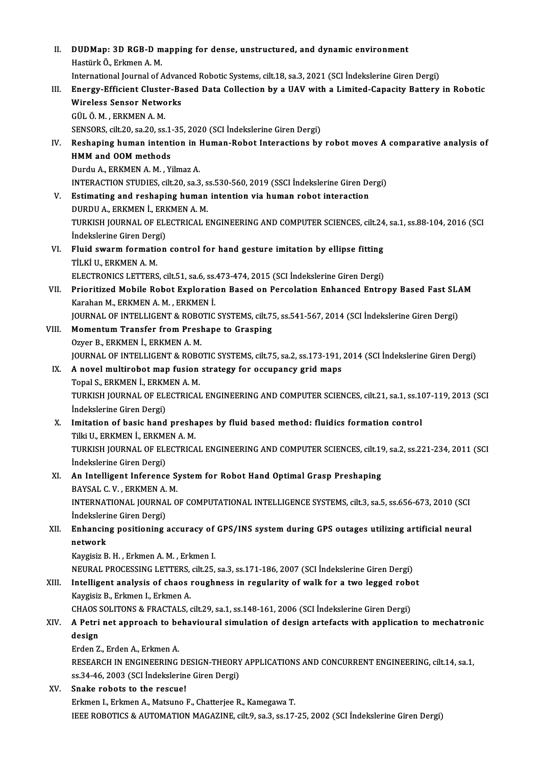| Н.    | DUDMap: 3D RGB-D mapping for dense, unstructured, and dynamic environment                                |
|-------|----------------------------------------------------------------------------------------------------------|
|       | Hastürk Ö., Erkmen A. M.                                                                                 |
|       | International Journal of Advanced Robotic Systems, cilt.18, sa.3, 2021 (SCI Indekslerine Giren Dergi)    |
| III.  | Energy-Efficient Cluster-Based Data Collection by a UAV with a Limited-Capacity Battery in Robotic       |
|       | <b>Wireless Sensor Networks</b>                                                                          |
|       | GÜL Ö. M., ERKMEN A. M.                                                                                  |
|       | SENSORS, cilt.20, sa.20, ss.1-35, 2020 (SCI İndekslerine Giren Dergi)                                    |
| IV.   | Reshaping human intention in Human-Robot Interactions by robot moves A comparative analysis of           |
|       | HMM and OOM methods                                                                                      |
|       | Durdu A., ERKMEN A. M., Yilmaz A.                                                                        |
|       | INTERACTION STUDIES, cilt.20, sa.3, ss.530-560, 2019 (SSCI Indekslerine Giren Dergi)                     |
| V.    | Estimating and reshaping human intention via human robot interaction                                     |
|       | DURDU A., ERKMEN İ., ERKMEN A. M.                                                                        |
|       | TURKISH JOURNAL OF ELECTRICAL ENGINEERING AND COMPUTER SCIENCES, cilt.24, sa.1, ss.88-104, 2016 (SCI     |
|       | İndekslerine Giren Dergi)                                                                                |
| VI.   | Fluid swarm formation control for hand gesture imitation by ellipse fitting                              |
|       | TİLKİ U., ERKMEN A.M.                                                                                    |
|       |                                                                                                          |
|       | ELECTRONICS LETTERS, cilt.51, sa.6, ss.473-474, 2015 (SCI Indekslerine Giren Dergi)                      |
| VII.  | Prioritized Mobile Robot Exploration Based on Percolation Enhanced Entropy Based Fast SLAM               |
|       | Karahan M., ERKMEN A. M., ERKMEN İ.                                                                      |
|       | JOURNAL OF INTELLIGENT & ROBOTIC SYSTEMS, cilt.75, ss.541-567, 2014 (SCI Indekslerine Giren Dergi)       |
| VIII. | Momentum Transfer from Preshape to Grasping                                                              |
|       | Ozyer B., ERKMEN İ., ERKMEN A. M.                                                                        |
|       | JOURNAL OF INTELLIGENT & ROBOTIC SYSTEMS, cilt.75, sa.2, ss.173-191, 2014 (SCI İndekslerine Giren Dergi) |
| IX.   | A novel multirobot map fusion strategy for occupancy grid maps                                           |
|       | Topal S., ERKMEN İ., ERKMEN A. M.                                                                        |
|       | TURKISH JOURNAL OF ELECTRICAL ENGINEERING AND COMPUTER SCIENCES, cilt.21, sa.1, ss.107-119, 2013 (SCI    |
|       | İndekslerine Giren Dergi)                                                                                |
|       | X. Imitation of basic hand preshapes by fluid based method: fluidics formation control                   |
|       | Tilki U., ERKMEN İ., ERKMEN A. M.                                                                        |
|       | TURKISH JOURNAL OF ELECTRICAL ENGINEERING AND COMPUTER SCIENCES, cilt.19, sa.2, ss.221-234, 2011 (SCI    |
|       | İndekslerine Giren Dergi)                                                                                |
| XI.   | An Intelligent Inference System for Robot Hand Optimal Grasp Preshaping                                  |
|       | BAYSAL C.V., ERKMEN A.M.                                                                                 |
|       | INTERNATIONAL JOURNAL OF COMPUTATIONAL INTELLIGENCE SYSTEMS, cilt.3, sa.5, ss.656-673, 2010 (SCI         |
|       | İndekslerine Giren Dergi)                                                                                |
| XII.  | Enhancing positioning accuracy of GPS/INS system during GPS outages utilizing artificial neural          |
|       | network                                                                                                  |
|       | Kaygisiz B. H., Erkmen A. M., Erkmen I.                                                                  |
|       | NEURAL PROCESSING LETTERS, cilt.25, sa.3, ss.171-186, 2007 (SCI İndekslerine Giren Dergi)                |
| XIII. | Intelligent analysis of chaos roughness in regularity of walk for a two legged robot                     |
|       | Kaygisiz B., Erkmen I., Erkmen A.                                                                        |
|       | CHAOS SOLITONS & FRACTALS, cilt.29, sa.1, ss.148-161, 2006 (SCI İndekslerine Giren Dergi)                |
| XIV.  | A Petri net approach to behavioural simulation of design artefacts with application to mechatronic       |
|       | design                                                                                                   |
|       | Erden Z., Erden A., Erkmen A.                                                                            |
|       | RESEARCH IN ENGINEERING DESIGN-THEORY APPLICATIONS AND CONCURRENT ENGINEERING, cilt.14, sa.1,            |
|       | ss 34-46, 2003 (SCI İndekslerine Giren Dergi)                                                            |
| XV.   | Snake robots to the rescue!                                                                              |
|       | Erkmen I., Erkmen A., Matsuno F., Chatterjee R., Kamegawa T.                                             |
|       | IEEE ROBOTICS & AUTOMATION MAGAZINE, cilt.9, sa.3, ss.17-25, 2002 (SCI İndekslerine Giren Dergi)         |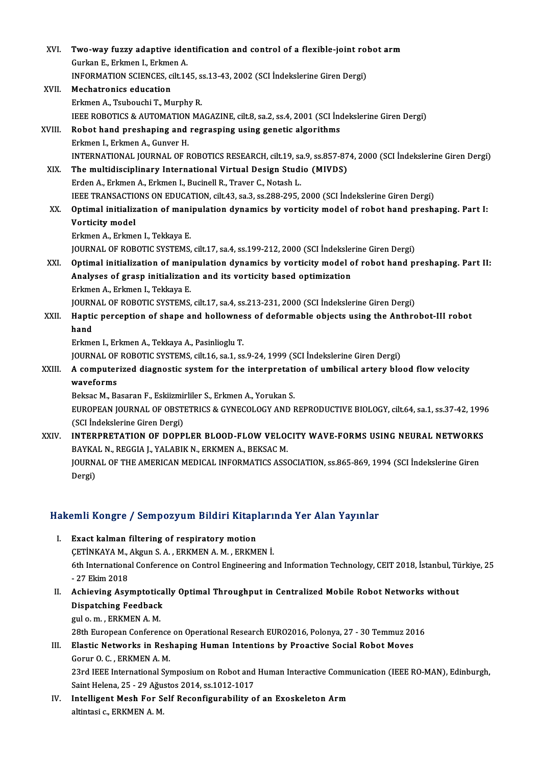| XVI.   | Two-way fuzzy adaptive identification and control of a flexible-joint robot arm                            |
|--------|------------------------------------------------------------------------------------------------------------|
|        | Gurkan E., Erkmen I., Erkmen A.                                                                            |
|        | INFORMATION SCIENCES, cilt.145, ss.13-43, 2002 (SCI Indekslerine Giren Dergi)                              |
| XVII.  | <b>Mechatronics education</b>                                                                              |
|        | Erkmen A., Tsubouchi T., Murphy R.                                                                         |
|        | IEEE ROBOTICS & AUTOMATION MAGAZINE, cilt.8, sa.2, ss.4, 2001 (SCI Indekslerine Giren Dergi)               |
| XVIII. | Robot hand preshaping and regrasping using genetic algorithms                                              |
|        | Erkmen I., Erkmen A., Gunver H.                                                                            |
|        | INTERNATIONAL JOURNAL OF ROBOTICS RESEARCH, cilt.19, sa.9, ss.857-874, 2000 (SCI İndekslerine Giren Dergi) |
| XIX.   | The multidisciplinary International Virtual Design Studio (MIVDS)                                          |
|        | Erden A., Erkmen A., Erkmen I., Bucinell R., Traver C., Notash L.                                          |
|        | IEEE TRANSACTIONS ON EDUCATION, cilt.43, sa.3, ss.288-295, 2000 (SCI Indekslerine Giren Dergi)             |
| XX.    | Optimal initialization of manipulation dynamics by vorticity model of robot hand preshaping. Part I:       |
|        | Vorticity model                                                                                            |
|        | Erkmen A., Erkmen I., Tekkaya E.                                                                           |
|        | JOURNAL OF ROBOTIC SYSTEMS, cilt.17, sa.4, ss.199-212, 2000 (SCI Indekslerine Giren Dergi)                 |
| XXI.   | Optimal initialization of manipulation dynamics by vorticity model of robot hand preshaping. Part II:      |
|        | Analyses of grasp initialization and its vorticity based optimization                                      |
|        | Erkmen A., Erkmen I., Tekkaya E.                                                                           |
|        | JOURNAL OF ROBOTIC SYSTEMS, cilt.17, sa.4, ss.213-231, 2000 (SCI İndekslerine Giren Dergi)                 |
| XXII.  | Haptic perception of shape and hollowness of deformable objects using the Anthrobot-III robot              |
|        | hand                                                                                                       |
|        | Erkmen I., Erkmen A., Tekkaya A., Pasinlioglu T.                                                           |
|        | JOURNAL OF ROBOTIC SYSTEMS, cilt.16, sa.1, ss.9-24, 1999 (SCI Indekslerine Giren Dergi)                    |
| XXIII. | A computerized diagnostic system for the interpretation of umbilical artery blood flow velocity            |
|        | waveforms                                                                                                  |
|        | Beksac M., Basaran F., Eskiizmirliler S., Erkmen A., Yorukan S.                                            |
|        | EUROPEAN JOURNAL OF OBSTETRICS & GYNECOLOGY AND REPRODUCTIVE BIOLOGY, cilt.64, sa.1, ss.37-42, 1996        |
|        | (SCI İndekslerine Giren Dergi)                                                                             |
| XXIV.  | INTERPRETATION OF DOPPLER BLOOD-FLOW VELOCITY WAVE-FORMS USING NEURAL NETWORKS                             |
|        | BAYKAL N., REGGIA J., YALABIK N., ERKMEN A., BEKSAC M.                                                     |
|        | JOURNAL OF THE AMERICAN MEDICAL INFORMATICS ASSOCIATION, ss.865-869, 1994 (SCI Indekslerine Giren          |
|        | Dergi)                                                                                                     |

# bergi)<br>Hakemli Kongre / Sempozyum Bildiri Kitaplarında Yer Alan Yayınlar

- akemli Kongre / Sempozyum Bildiri Kitap<br>I. Exact kalman filtering of respiratory motion<br>CETINKAYAM Akgun S.A. ERKMEN AM ERKMI I. Exact kalman filtering of respiratory motion<br>CETİNKAYAM., Akgun S.A., ERKMEN A.M., ERKMEN İ. Exact kalman filtering of respiratory motion<br>ÇETİNKAYA M., Akgun S. A. , ERKMEN A. M. , ERKMEN İ.<br>6th International Conference on Control Engineering and Information Technology, CEIT 2018, İstanbul, Türkiye, 25<br>27 Ekim 201 CETINKAYA M.,<br>6th Internationa<br>- 27 Ekim 2018<br>Achioving Acy Ith International Conference on Control Engineering and Information Technology, CEIT 2018, Istanbul, Ti<br>127 Ekim 2018<br>II. Achieving Asymptotically Optimal Throughput in Centralized Mobile Robot Networks without<br>12 Dianatab
- 27 Ekim 2018<br>Achieving Asymptotica<br>Dispatching Feedback<br>Tile me EPKMEN A M Achieving Asymptotic:<br>Dispatching Feedback<br>gul o. m. , ERKMEN A. M.<br>29th Euroneen Conferen

Dispatching Feedback<br>28th European Conference on Operational Research EURO2016, Polonya, 27 - 30 Temmuz 2016<br>28th European Conference on Operational Research EURO2016, Polonya, 27 - 30 Temmuz 2016

### gul o. m. , ERKMEN A. M.<br>28th European Conference on Operational Research EURO2016, Polonya, 27 - 30 Temmuz 20<br>III. Elastic Networks in Reshaping Human Intentions by Proactive Social Robot Moves<br>Comm O. G. ERKMEN A. M 28th European Conference<br>Elastic Networks in Resl<br>Gorur O. C. , ERKMEN A. M.<br>22rd IEEE International Su Elastic Networks in Reshaping Human Intentions by Proactive Social Robot Moves<br>Gorur O. C. , ERKMEN A. M.<br>23rd IEEE International Symposium on Robot and Human Interactive Communication (IEEE RO-MAN), Edinburgh,<br>Saint Helen

Gorur O. C. , ERKMEN A. M.<br>23rd IEEE International Symposium on Robot and<br>Saint Helena, 25 - 29 Ağustos 2014, ss.1012-1017<br>Intelligent Mech Een Self Besenfigurability e 23rd IEEE International Symposium on Robot and Human Interactive Comm<br>Saint Helena, 25 - 29 Ağustos 2014, ss.1012-1017<br>IV. Intelligent Mesh For Self Reconfigurability of an Exoskeleton Arm<br>altintarie ERKMEN A.M

Saint Helena, 25 - 29 Ağustos 2014, ss.1012-1017<br>IV. Intelligent Mesh For Self Reconfigurability of an Exoskeleton Arm<br>altintasi c., ERKMEN A. M.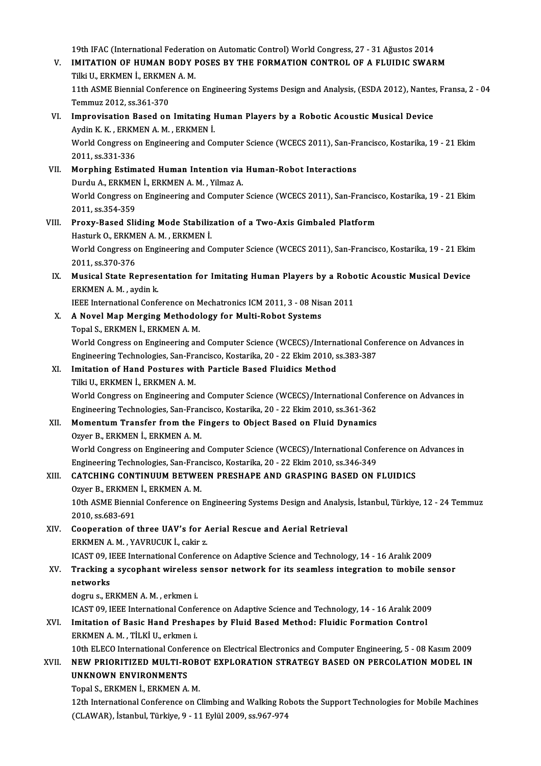19th IFAC (International Federation on Automatic Control) World Congress, 27 - 31 Ağustos 2014<br>IMITATION OF HUMAN PODY POSES BY THE FORMATION CONTROL OF A FLUIDIC SWAR

19th IFAC (International Federation on Automatic Control) World Congress, 27 - 31 Ağustos 2014<br>V. IMITATION OF HUMAN BODY POSES BY THE FORMATION CONTROL OF A FLUIDIC SWARM<br>Tilli II, EDKMEN I, EDKMEN A M 19th IFAC (International Federational Federational Federation<br>IMITATION OF HUMAN BODY I<br>Tilki U., ERKMEN İ., ERKMEN A. M. IMITATION OF HUMAN BODY POSES BY THE FORMATION CONTROL OF A FLUIDIC SWARM<br>Tilki U., ERKMEN İ., ERKMEN A. M.<br>11th ASME Biennial Conference on Engineering Systems Design and Analysis, (ESDA 2012), Nantes, Fransa, 2 - 04<br>Tamm Tilki U., ERKMEN İ., ERKMEI<br>11th ASME Biennial Confer<br>Temmuz 2012, ss.361-370<br>Imnrovisation Based on 11th ASME Biennial Conference on Engineering Systems Design and Analysis, (ESDA 2012), Nantes<br>Temmuz 2012, ss.361-370<br>VI. Improvisation Based on Imitating Human Players by a Robotic Acoustic Musical Device<br>Audin K.K., ERKM Temmuz 2012, ss.361-370<br>Improvisation Based on Imitating I<br>Aydin K. K. , ERKMEN A. M. , ERKMEN İ.<br>Werld Congress en Engineering and Co VI. Improvisation Based on Imitating Human Players by a Robotic Acoustic Musical Device<br>Aydin K. K., ERKMEN A. M., ERKMEN İ.<br>World Congress on Engineering and Computer Science (WCECS 2011), San-Francisco, Kostarika, 19 - 2 Aydin K. K. , ERKM<br>World Congress o<br>2011, ss.331-336<br>Mornhing Estim World Congress on Engineering and Computer Science (WCECS 2011), San-Fr<br>2011, ss.331-336<br>VII. Morphing Estimated Human Intention via Human-Robot Interactions<br>Durdy A. ERKMEN I. ERKMEN A.M. Vilman A. 2011, ss.331-336<br>Morphing Estimated Human Intention via<br>Durdu A., ERKMEN İ., ERKMEN A. M. , Yilmaz A.<br>Werld Congress on Engineering and Computer World Congress on Engineering and Computer Science (WCECS 2011), San-Francisco, Kostarika, 19 - 21 Ekim 2011, ss.354-359 Durdu A., ERKMEN İ., ERKMEN A. M., Yilmaz A. World Congress on Engineering and Computer Science (WCECS 2011), San-Francise<br>2011, ss.354-359<br>VIII. Proxy-Based Sliding Mode Stabilization of a Two-Axis Gimbaled Platform<br>Hesturk O, ERKMEN A.M., ERKMEN i 2011, ss.354-359<br><mark>Proxy-Based Sliding Mode Stabiliz</mark><br>Hasturk O., ERKMEN A. M. , ERKMEN İ.<br>Werld Congress en Engineering and C World Congress on Engineering and Computer Science (WCECS 2011), San-Francisco, Kostarika, 19 - 21 Ekim 2011, ss.370-376 Hasturk O., ERKMEN A. M., ERKMEN İ. World Congress on Engineering and Computer Science (WCECS 2011), San-Francisco, Kostarika, 19 - 21 Ekin 2011, ss.370-376<br>IX. Musical State Representation for Imitating Human Players by a Robotic Acoustic Musical Device<br>FRW 2011, ss.370-376<br>Musical State Represe<br>ERKMEN A. M. , aydin k.<br>IEEE International Conf Musical State Representation for Imitating Human Players by a Robor<br>ERKMEN A. M. , aydin k.<br>IEEE International Conference on Mechatronics ICM 2011, 3 - 08 Nisan 2011<br>A Navel Man Marging Mathodology for Multi Bobot Systems ERKMEN A. M., aydin k.<br>IEEE International Conference on Mechatronics ICM 2011, 3 - 08 Nis.<br>X. A Novel Map Merging Methodology for Multi-Robot Systems<br>Topel S. ERKMEN I. ERKMEN A M. IEEE International Conference on M<br>**A Novel Map Merging Methodo**l<br>Topal S., ERKMEN İ., ERKMEN A. M.<br>World Congress on Engineering an X. A Novel Map Merging Methodology for Multi-Robot Systems<br>Topal S., ERKMEN I., ERKMEN A. M.<br>World Congress on Engineering and Computer Science (WCECS)/International Conference on Advances in Topal S., ERKMEN İ., ERKMEN A. M.<br>World Congress on Engineering and Computer Science (WCECS)/International Con<br>Engineering Technologies, San-Francisco, Kostarika, 20 - 22 Ekim 2010, ss.383-387<br>Imitation of Hand Bostunes wi World Congress on Engineering and Computer Science (WCECS)/Interna<br>Engineering Technologies, San-Francisco, Kostarika, 20 - 22 Ekim 2010, s<br>XI. Imitation of Hand Postures with Particle Based Fluidics Method<br>Tilii II. EPKME Engineering Technologies, San-Fra<br>Imitation of Hand Postures wi<br>Tilki U., ERKMEN İ., ERKMEN A. M.<br>Werld Congress on Engineering al Imitation of Hand Postures with Particle Based Fluidics Method<br>Tilki U., ERKMEN İ., ERKMEN A. M.<br>World Congress on Engineering and Computer Science (WCECS)/International Conference on Advances in<br>Engineering Technologies S Tilki U., ERKMEN İ., ERKMEN A. M.<br>World Congress on Engineering and Computer Science (WCECS)/International Con<br>Engineering Technologies, San-Francisco, Kostarika, 20 - 22 Ekim 2010, ss.361-362<br>Momentum Transfor from the Ei World Congress on Engineering and Computer Science (WCECS)/International Con<br>Engineering Technologies, San-Francisco, Kostarika, 20 - 22 Ekim 2010, ss.361-362<br>XII. Momentum Transfer from the Fingers to Object Based on Flui Engineering Technologies, San-Fran<br>**Momentum Transfer from the F**<br>Ozyer B., ERKMEN İ., ERKMEN A. M.<br>Werld Congress on Engineering and Momentum Transfer from the Fingers to Object Based on Fluid Dynamics<br>Ozyer B., ERKMEN İ., ERKMEN A. M.<br>World Congress on Engineering and Computer Science (WCECS)/International Conference on Advances in<br>Engineering Technolo Ozyer B., ERKMEN İ., ERKMEN A. M.<br>World Congress on Engineering and Computer Science (WCECS)/International Con<br>Engineering Technologies, San-Francisco, Kostarika, 20 - 22 Ekim 2010, ss.346-349<br>CATCHINC CONTINUUM PETWEEN PR XIII. CATCHING CONTINUUM BETWEEN PRESHAPE AND GRASPING BASED ON FLUIDICS<br>Ozyer B., ERKMEN İ., ERKMEN A. M. Engineering Technologies, San-Francisco, Kostarika, 20 - 22 Ekim 2010, ss 346-349 CATCHING CONTINUUM BETWEEN PRESHAPE AND GRASPING BASED ON FLUIDICS<br>Ozyer B., ERKMEN İ., ERKMEN A. M.<br>10th ASME Biennial Conference on Engineering Systems Design and Analysis, İstanbul, Türkiye, 12 - 24 Temmuz<br>2010. ss.692. Ozyer B., ERKMEN<br>10th ASME Bienni<br>2010, ss.683-691 XIV. Cooperation of three UAV's for Aerial Rescue and Aerial Retrieval ERKMENA.M. ,YAVRUCUKİ., cakir z. Cooperation of three UAV's for Aerial Rescue and Aerial Retrieval<br>ERKMEN A. M. , YAVRUCUK İ., cakir z.<br>ICAST 09, IEEE International Conference on Adaptive Science and Technology, 14 - 16 Aralık 2009<br>Trasking a sysanbant wi ERKMEN A. M. , YAVRUCUK İ., cakir z.<br>ICAST 09, IEEE International Conference on Adaptive Science and Technology, 14 - 16 Aralık 2009<br>XV. Tracking a sycophant wireless sensor network for its seamless integration to mobi ICAST 09, I<br>Tracking<br>networks<br>dogrus El Tracking a sycophant wireless<br>networks<br>dogru s., ERKMEN A.M. , erkmen i.<br>ICAST 09. JEEE International Confo networks<br>dogru s., ERKMEN A. M. , erkmen i.<br>ICAST 09, IEEE International Conference on Adaptive Science and Technology, 14 - 16 Aralık 2009<br>Imitation of Basis Hand Brashanes by Eluid Based Method: Eluidis Fermation Control dogru s., ERKMEN A. M. , erkmen i.<br>ICAST 09, IEEE International Conference on Adaptive Science and Technology, 14 - 16 Aralık 2009<br>XVI. Imitation of Basic Hand Preshapes by Fluid Based Method: Fluidic Formation Control<br>ERK ICAST 09, IEEE International Confe<br>Imitation of Basic Hand Presha<br>ERKMEN A. M. , TİLKİ U., erkmen i.<br>10th ELECO International Conferer Imitation of Basic Hand Preshapes by Fluid Based Method: Fluidic Formation Control<br>ERKMEN A. M. , TİLKİ U., erkmen i.<br>10th ELECO International Conference on Electrical Electronics and Computer Engineering, 5 - 08 Kasım 200 ERKMEN A. M. , TİLKİ U., erkmen i.<br>10th ELECO International Conference on Electrical Electronics and Computer Engineering, 5 - 08 Kasım 2009<br>XVII. NEW PRIORITIZED MULTI-ROBOT EXPLORATION STRATEGY BASED ON PERCOLATION MODEL 10th ELECO International Confer<br>NEW PRIORITIZED MULTI-RO<br>UNKNOWN ENVIRONMENTS<br>Tonel S. ERKMEN 1, ERKMEN 4 NEW PRIORITIZED MULTI-ROB<br>UNKNOWN ENVIRONMENTS<br>Topal S., ERKMEN İ., ERKMEN A. M.<br>12th International Conference on G 12th International Conference Suman International Conference on Numan September 2015.<br>Topal S., ERKMEN I., ERKMEN A. M.<br>12th International Conference on Climbing and Walking Robots the Support Technologies for Mobile Machi (CLAWAR), İstanbul,Türkiye,9 -11Eylül2009, ss.967-974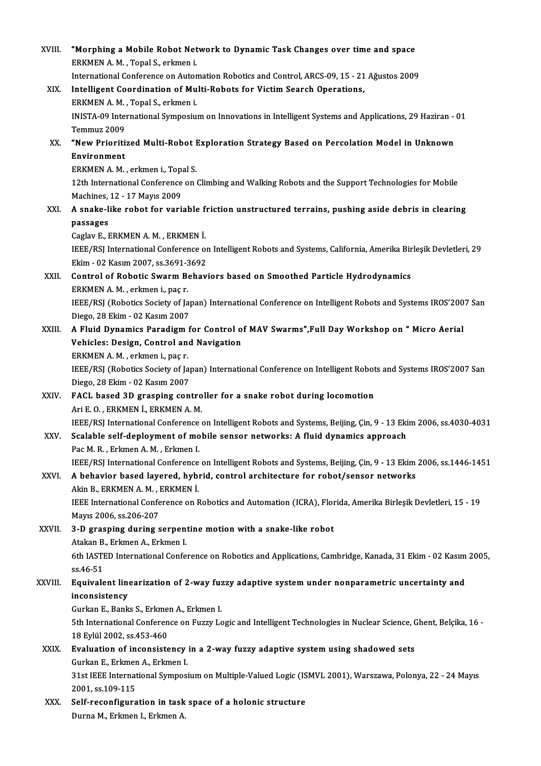| XVIII.      | "Morphing a Mobile Robot Network to Dynamic Task Changes over time and space<br>ERKMEN A. M., Topal S., erkmen i.                     |
|-------------|---------------------------------------------------------------------------------------------------------------------------------------|
|             | International Conference on Automation Robotics and Control, ARCS-09, 15 - 21 Ağustos 2009                                            |
| XIX.        | Intelligent Coordination of Multi-Robots for Victim Search Operations,                                                                |
|             | ERKMEN A. M., Topal S., erkmen i.                                                                                                     |
|             | INISTA-09 International Symposium on Innovations in Intelligent Systems and Applications, 29 Haziran - 01                             |
|             | Temmuz 2009                                                                                                                           |
| XX.         | "New Prioritized Multi-Robot Exploration Strategy Based on Percolation Model in Unknown                                               |
|             | Environment                                                                                                                           |
|             | ERKMEN A. M., erkmen i., Topal S.                                                                                                     |
|             | 12th International Conference on Climbing and Walking Robots and the Support Technologies for Mobile                                  |
|             | Machines, 12 - 17 Mayıs 2009                                                                                                          |
| XXI.        | A snake-like robot for variable friction unstructured terrains, pushing aside debris in clearing                                      |
|             | passages                                                                                                                              |
|             | Caglav E, ERKMEN A. M., ERKMEN İ.                                                                                                     |
|             | IEEE/RSJ International Conference on Intelligent Robots and Systems, California, Amerika Birleşik Devletleri, 29                      |
|             | Ekim - 02 Kasım 2007, ss 3691-3692                                                                                                    |
| XXII.       | Control of Robotic Swarm Behaviors based on Smoothed Particle Hydrodynamics                                                           |
|             | ERKMEN A. M., erkmen i., paç r.                                                                                                       |
|             | IEEE/RSJ (Robotics Society of Japan) International Conference on Intelligent Robots and Systems IROS'2007 San                         |
|             | Diego, 28 Ekim - 02 Kasım 2007                                                                                                        |
| XXIII.      | A Fluid Dynamics Paradigm for Control of MAV Swarms", Full Day Workshop on " Micro Aerial<br>Vehicles: Design, Control and Navigation |
|             | ERKMEN A. M., erkmen i., paç r.                                                                                                       |
|             | IEEE/RSJ (Robotics Society of Japan) International Conference on Intelligent Robots and Systems IROS'2007 San                         |
|             | Diego, 28 Ekim - 02 Kasım 2007                                                                                                        |
| <b>XXIV</b> | FACL based 3D grasping controller for a snake robot during locomotion                                                                 |
|             | Ari E.O., ERKMEN İ., ERKMEN A.M.                                                                                                      |
|             | IEEE/RSJ International Conference on Intelligent Robots and Systems, Beijing, Çin, 9 - 13 Ekim 2006, ss.4030-4031                     |
| XXV.        | Scalable self-deployment of mobile sensor networks: A fluid dynamics approach                                                         |
|             | Pac M. R., Erkmen A. M., Erkmen I.                                                                                                    |
|             | IEEE/RSJ International Conference on Intelligent Robots and Systems, Beijing, Çin, 9 - 13 Ekim 2006, ss.1446-1451                     |
| XXVI.       | A behavior based layered, hybrid, control architecture for robot/sensor networks                                                      |
|             | Akin B., ERKMEN A. M., ERKMEN İ.                                                                                                      |
|             | IEEE International Conference on Robotics and Automation (ICRA), Florida, Amerika Birleşik Devletleri, 15 - 19                        |
|             | Mayıs 2006, ss.206-207                                                                                                                |
| XXVII.      | 3-D grasping during serpentine motion with a snake-like robot                                                                         |
|             | Atakan B., Erkmen A., Erkmen I.                                                                                                       |
|             | 6th IASTED International Conference on Robotics and Applications, Cambridge, Kanada, 31 Ekim - 02 Kasım 2005,                         |
|             | ss 46-51                                                                                                                              |
| XXVIII.     | Equivalent linearization of 2-way fuzzy adaptive system under nonparametric uncertainty and                                           |
|             | inconsistency<br>Gurkan E., Banks S., Erkmen A., Erkmen I.                                                                            |
|             | 5th International Conference on Fuzzy Logic and Intelligent Technologies in Nuclear Science, Ghent, Belçika, 16 -                     |
|             | 18 Eylül 2002, ss 453-460                                                                                                             |
| XXIX.       | Evaluation of inconsistency in a 2-way fuzzy adaptive system using shadowed sets                                                      |
|             | Gurkan E., Erkmen A., Erkmen I.                                                                                                       |
|             | 31st IEEE International Symposium on Multiple-Valued Logic (ISMVL 2001), Warszawa, Polonya, 22 - 24 Mayıs                             |
|             | 2001, ss 109-115                                                                                                                      |
| XXX.        | Self-reconfiguration in task space of a holonic structure                                                                             |
|             | Durna M., Erkmen I., Erkmen A.                                                                                                        |
|             |                                                                                                                                       |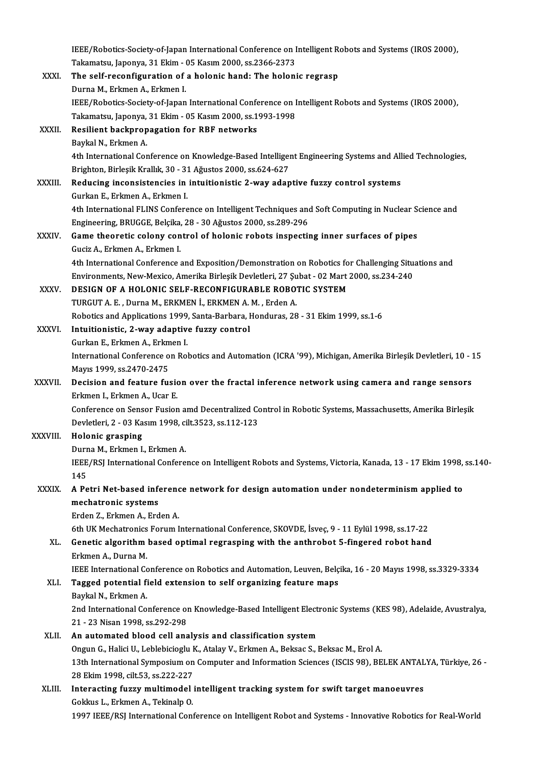|               | IEEE/Robotics-Society-of-Japan International Conference on Intelligent Robots and Systems (IROS 2000),            |
|---------------|-------------------------------------------------------------------------------------------------------------------|
|               | Takamatsu, Japonya, 31 Ekim - 05 Kasım 2000, ss.2366-2373                                                         |
| XXXI.         | The self-reconfiguration of a holonic hand: The holonic regrasp                                                   |
|               | Durna M., Erkmen A., Erkmen I.                                                                                    |
|               | IEEE/Robotics-Society-of-Japan International Conference on Intelligent Robots and Systems (IROS 2000),            |
|               | Takamatsu, Japonya, 31 Ekim - 05 Kasım 2000, ss.1993-1998                                                         |
| XXXII.        | Resilient backpropagation for RBF networks                                                                        |
|               | Baykal N., Erkmen A.                                                                                              |
|               | 4th International Conference on Knowledge-Based Intelligent Engineering Systems and Allied Technologies,          |
|               | Brighton, Birleşik Krallık, 30 - 31 Ağustos 2000, ss.624-627                                                      |
| <b>XXXIII</b> | Reducing inconsistencies in intuitionistic 2-way adaptive fuzzy control systems                                   |
|               | Gurkan E., Erkmen A., Erkmen I.                                                                                   |
|               | 4th International FLINS Conference on Intelligent Techniques and Soft Computing in Nuclear Science and            |
|               | Engineering, BRUGGE, Belçika, 28 - 30 Ağustos 2000, ss.289-296                                                    |
| XXXIV.        | Game theoretic colony control of holonic robots inspecting inner surfaces of pipes                                |
|               | Guciz A., Erkmen A., Erkmen I.                                                                                    |
|               | 4th International Conference and Exposition/Demonstration on Robotics for Challenging Situations and              |
|               | Environments, New-Mexico, Amerika Birleşik Devletleri, 27 Şubat - 02 Mart 2000, ss.234-240                        |
| XXXV.         | DESIGN OF A HOLONIC SELF-RECONFIGURABLE ROBOTIC SYSTEM                                                            |
|               | TURGUT A. E., Durna M., ERKMEN İ., ERKMEN A. M., Erden A.                                                         |
|               | Robotics and Applications 1999, Santa-Barbara, Honduras, 28 - 31 Ekim 1999, ss.1-6                                |
| XXXVI.        | Intuitionistic, 2-way adaptive fuzzy control                                                                      |
|               | Gurkan E., Erkmen A., Erkmen I.                                                                                   |
|               | International Conference on Robotics and Automation (ICRA '99), Michigan, Amerika Birleşik Devletleri, 10 - 15    |
|               | Mayıs 1999, ss 2470-2475                                                                                          |
| <b>XXXVII</b> | Decision and feature fusion over the fractal inference network using camera and range sensors                     |
|               | Erkmen I., Erkmen A., Ucar E.                                                                                     |
|               | Conference on Sensor Fusion amd Decentralized Control in Robotic Systems, Massachusetts, Amerika Birleşik         |
|               | Devletleri, 2 - 03 Kasım 1998, cilt 3523, ss.112-123                                                              |
| XXXVIII.      | Holonic grasping                                                                                                  |
|               | Durna M., Erkmen I., Erkmen A.                                                                                    |
|               | IEEE/RSJ International Conference on Intelligent Robots and Systems, Victoria, Kanada, 13 - 17 Ekim 1998, ss.140- |
|               | 145                                                                                                               |
| XXXIX.        | A Petri Net-based inference network for design automation under nondeterminism applied to                         |
|               | mechatronic systems                                                                                               |
|               | Erden Z., Erkmen A., Erden A.                                                                                     |
|               | 6th UK Mechatronics Forum International Conference, SKOVDE, İsveç, 9 - 11 Eylül 1998, ss.17-22                    |
| XL.           | Genetic algorithm based optimal regrasping with the anthrobot 5-fingered robot hand                               |
|               | Erkmen A., Durna M.                                                                                               |
|               | IEEE International Conference on Robotics and Automation, Leuven, Belçika, 16 - 20 Mayıs 1998, ss.3329-3334       |
| XLI.          | Tagged potential field extension to self organizing feature maps                                                  |
|               | Baykal N., Erkmen A.                                                                                              |
|               | 2nd International Conference on Knowledge-Based Intelligent Electronic Systems (KES 98), Adelaide, Avustralya,    |
|               | 21 - 23 Nisan 1998, ss 292-298                                                                                    |
| XLII.         | An automated blood cell analysis and classification system                                                        |
|               | Ongun G., Halici U., Leblebicioglu K., Atalay V., Erkmen A., Beksac S., Beksac M., Erol A.                        |
|               | 13th International Symposium on Computer and Information Sciences (ISCIS 98), BELEK ANTALYA, Türkiye, 26 -        |
|               | 28 Ekim 1998, cilt 53, ss 222-227                                                                                 |
| XLIII.        | Interacting fuzzy multimodel intelligent tracking system for swift target manoeuvres                              |
|               | Gokkus L., Erkmen A., Tekinalp O.                                                                                 |
|               | 1997 IEEE/RSJ International Conference on Intelligent Robot and Systems - Innovative Robotics for Real-World      |
|               |                                                                                                                   |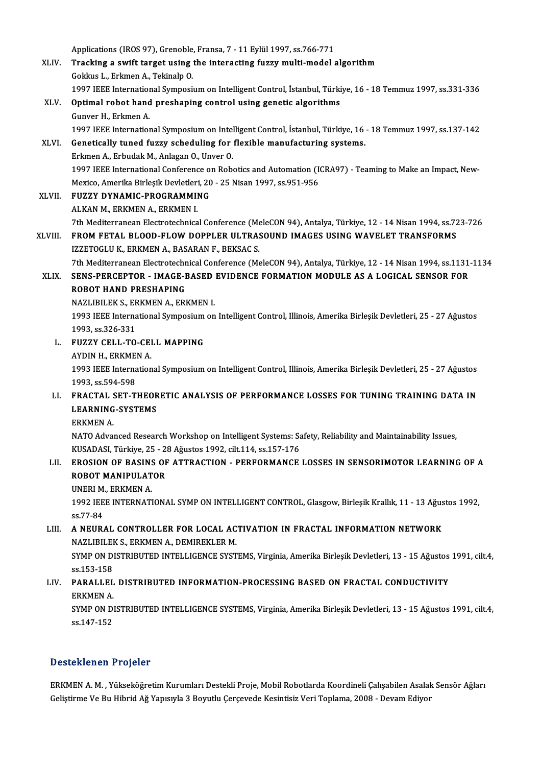Applications (IROS 97), Grenoble, Fransa, 7 - 11 Eylül 1997, ss.766-771<br>Treaking a swift target using the interesting fuggy multi model ( XLIV. Tracking a swift target using the interacting fuzzymulti-model algorithm Applications (IROS 97), Grenoble<br>Tracking a swift target using<br>Gokkus L., Erkmen A., Tekinalp O.<br>1007 IEEE International Sumperi Tracking a swift target using the interacting fuzzy multi-model algorithm<br>Gokkus L., Erkmen A., Tekinalp O.<br>1997 IEEE International Symposium on Intelligent Control, İstanbul, Türkiye, 16 - 18 Temmuz 1997, ss.331-336<br>Ontim XLV. Optimal robot hand preshaping control using genetic algorithms 1997 IEEE Internation<br>**Optimal robot hand**<br>Gunver H., Erkmen A.<br>1997 IEEE Internation 0ptimal robot hand preshaping control using genetic algorithms<br>Gunver H., Erkmen A.<br>1997 IEEE International Symposium on Intelligent Control, İstanbul, Türkiye, 16 - 18 Temmuz 1997, ss.137-142<br>Constisslly tuned fuggy schod XLVI. Genetically tuned fuzzy scheduling for flexible manufacturing systems.<br>Erkmen A., Erbudak M., Anlagan O., Unver O. 1997 IEEE International Symposium on Intel<br>Genetically tuned fuzzy scheduling for<br>Erkmen A., Erbudak M., Anlagan O., Unver O.<br>1997 IEEE International Conference on Bob Genetically tuned fuzzy scheduling for flexible manufacturing systems.<br>Erkmen A., Erbudak M., Anlagan O., Unver O.<br>1997 IEEE International Conference on Robotics and Automation (ICRA97) - Teaming to Make an Impact, New-<br>Me Erkmen A., Erbudak M., Anlagan O., Unver O.<br>1997 IEEE International Conference on Robotics and Automation (I)<br>Mexico, Amerika Birleşik Devletleri, 20 - 25 Nisan 1997, ss.951-956<br>EUZZY DYNAMIC BROCRAMMING XLVII. FUZZY DYNAMIC-PROGRAMMING<br>ALKAN M., ERKMEN A., ERKMEN I. Mexico, Amerika Birleşik Devletleri, 20 - 25 Nisan 1997, ss 951-956 FUZZY DYNAMIC-PROGRAMMING<br>ALKAN M., ERKMEN A., ERKMEN I.<br>7th Mediterranean Electrotechnical Conference (MeleCON 94), Antalya, Türkiye, 12 - 14 Nisan 1994, ss.723-726<br>EROM EETAL BLOOD ELOW DOBBLER III TRASQUND IMACES USING XLVIII. FROM FETAL BLOOD-FLOW DOPPLER ULTRASOUND IMAGES USING WAVELET TRANSFORMS<br>IZZETOGLU K., ERKMEN A., BASARAN F., BEKSAC S. 7th Mediterranean Electrotechnical Conference (Me<br>FROM FETAL BLOOD-FLOW DOPPLER ULTRAS<br>IZZETOGLU K., ERKMEN A., BASARAN F., BEKSAC S.<br>7th Mediterranean Electratechnical Conference (Me FROM FETAL BLOOD-FLOW DOPPLER ULTRASOUND IMAGES USING WAVELET TRANSFORMS<br>IZZETOGLU K., ERKMEN A., BASARAN F., BEKSAC S.<br>7th Mediterranean Electrotechnical Conference (MeleCON 94), Antalya, Türkiye, 12 - 14 Nisan 1994, ss.1 IZZETOGLU K., ERKMEN A., BASARAN F., BEKSAC S.<br>7th Mediterranean Electrotechnical Conference (MeleCON 94), Antalya, Türkiye, 12 - 14 Nisan 1994, ss.1131<br>8LIX. SENS-PERCEPTOR - IMAGE-BASED EVIDENCE FORMATION MODULE AS A LOG 7th Mediterranean Electrotechr<br>SENS-PERCEPTOR - IMAGE-F<br>ROBOT HAND PRESHAPING<br>NAZI IBU EV S-ERVMEN A-ERI SENS-PERCEPTOR - IMAGE-BASED<br>ROBOT HAND PRESHAPING<br>NAZLIBILEK S., ERKMEN A., ERKMEN I.<br>1003 IEEE International Sumnosium on ROBOT HAND PRESHAPING<br>NAZLIBILEK S., ERKMEN A., ERKMEN I.<br>1993 IEEE International Symposium on Intelligent Control, Illinois, Amerika Birleşik Devletleri, 25 - 27 Ağustos<br>1993, ss.326-331 NAZLIBILEK S., EF<br>1993 IEEE Interna<br>1993, ss.326-331<br>EUZZV CELL TO 1993 IEEE International Symposium<br>1993, ss.326-331<br>L. FUZZY CELL-TO-CELL MAPPING<br>AVDIN H. ERKMEN A 1993, ss.326-331<br>FUZZY CELL-TO-CEI<br>AYDIN H., ERKMEN A.<br>1992 IEEE Internation FUZZY CELL-TO-CELL MAPPING<br>AYDIN H., ERKMEN A.<br>1993 IEEE International Symposium on Intelligent Control, Illinois, Amerika Birleşik Devletleri, 25 - 27 Ağustos<br>1993 -SE 594 599 AYDIN H., ERKME<br>1993 IEEE Interna<br>1993, ss.594-598<br>EPACTAL SET T 1993 IEEE International Symposium on Intelligent Control, Illinois, Amerika Birleşik Devletleri, 25 - 27 Ağustos<br>1993, ss.594-598<br>LI. FRACTAL SET-THEORETIC ANALYSIS OF PERFORMANCE LOSSES FOR TUNING TRAINING DATA IN 1993, ss.594-598<br>FRACTAL SET-THEOR<br>LEARNING-SYSTEMS<br>ERKMEN A FRACTAL S<br>LEARNING<br>ERKMEN A. LEARNING-SYSTEMS<br>ERKMEN A.<br>NATO Advanced Research Workshop on Intelligent Systems: Safety, Reliability and Maintainability Issues,<br>KUSADASL Türkive 25 - 28 Ağustos 1992-silt 114-ss 157-176 ERKMEN A.<br>NATO Advanced Research Workshop on Intelligent Systems: Sa<br>KUSADASI, Türkiye, 25 - 28 Ağustos 1992, cilt.114, ss.157-176<br>EROSION OF RASINS OF ATTRACTION - REREORMANCE NATO Advanced Research Workshop on Intelligent Systems: Safety, Reliability and Maintainability Issues,<br>KUSADASI, Türkiye, 25 - 28 Ağustos 1992, cilt.114, ss.157-176<br>LII. EROSION OF BASINS OF ATTRACTION - PERFORMANCE LOSSE KUSADASI, Türkiye, 25 - 28 Ağustos 1992, cilt.114, ss.157-176<br>EROSION OF BASINS OF ATTRACTION - PERFORMANCE<br>ROBOT MANIPULATOR<br>UNERI M., ERKMEN A. EROSION OF BASIN:<br>ROBOT MANIPULAT<br>UNERI M., ERKMEN A.<br>1002 JEEE INTERNATI ROBOT MANIPULATOR<br>UNERI M., ERKMEN A.<br>1992 IEEE INTERNATIONAL SYMP ON INTELLIGENT CONTROL, Glasgow, Birleşik Krallık, 11 - 13 Ağustos 1992, UNERI M.<br>1992 IEE<br>ss.77-84<br>A NEUP 1992 IEEE INTERNATIONAL SYMP ON INTELLIGENT CONTROL, Glasgow, Birleşik Krallık, 11 - 13 Ağus<br>ss.77-84<br>LIII. A NEURAL CONTROLLER FOR LOCAL ACTIVATION IN FRACTAL INFORMATION NETWORK<br>NAZI IBU EK S. ERKMEN A. DEMIREKI ER M SS.77-84<br>A NEURAL CONTROLLER FOR LOCAL AC<br>NAZLIBILEK S., ERKMEN A., DEMIREKLER M.<br>SYMP ON DISTRIPUTED INTELLICENCE SYST LIII. A NEURAL CONTROLLER FOR LOCAL ACTIVATION IN FRACTAL INFORMATION NETWORK<br>NAZLIBILEK S., ERKMEN A., DEMIREKLER M.<br>SYMP ON DISTRIBUTED INTELLIGENCE SYSTEMS, Virginia, Amerika Birleşik Devletleri, 13 - 15 Ağustos 1991, c NAZLIBILEI<br>SYMP ON DI<br>ss.153-158<br>BARALLEI SYMP ON DISTRIBUTED INTELLIGENCE SYSTEMS, Virginia, Amerika Birleşik Devletleri, 13 - 15 Ağustos<br>ss.153-158<br>LIV. PARALLEL DISTRIBUTED INFORMATION-PROCESSING BASED ON FRACTAL CONDUCTIVITY ss.153-158<br>**PARALLEL<br>ERKMEN A.**<br>SYMP ON DI PARALLEL DISTRIBUTED INFORMATION-PROCESSING BASED ON FRACTAL CONDUCTIVITY<br>ERKMEN A.<br>SYMP ON DISTRIBUTED INTELLIGENCE SYSTEMS, Virginia, Amerika Birleşik Devletleri, 13 - 15 Ağustos 1991, cilt.4,<br>99.147.152 ERKMEN A.<br>SYMP ON D!<br>ss.147-152

### Desteklenen Projeler

Desteklenen Projeler<br>ERKMEN A. M. , Yükseköğretim Kurumları Destekli Proje, Mobil Robotlarda Koordineli Çalışabilen Asalak Sensör Ağları<br>Celistinma Va Bu Hibrid Ağ Yanısıyla 3 Beyntlu Censeyada Kosintisiz Veri Taplama 2008 B GSCENCHEN I I OJEICI<br>ERKMEN A. M. , Yükseköğretim Kurumları Destekli Proje, Mobil Robotlarda Koordineli Çalışabilen Asalal<br>Geliştirme Ve Bu Hibrid Ağ Yapısıyla 3 Boyutlu Çerçevede Kesintisiz Veri Toplama, 2008 - Devam Ed